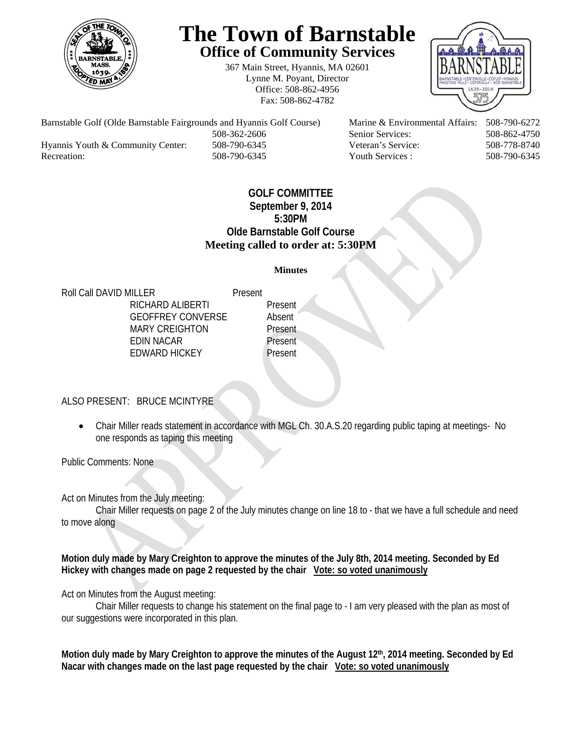

# **The Town of Barnstable Office of Community Services**

367 Main Street, Hyannis, MA 02601 Lynne M. Poyant, Director Office: 508-862-4956 Fax: 508-862-4782



Barnstable Golf (Olde Barnstable Fairgrounds and Hyannis Golf Course) Marine & Environmental Affairs: 508-790-6272 508-362-2606 Senior Services: 508-862-4750 Hyannis Youth & Community Center: 508-790-6345 Veteran's Service: 508-778-8740 Recreation: 508-790-6345 Youth Services : 508-790-6345 S08-790-6345

## **GOLF COMMITTEE September 9, 2014 5:30PM Olde Barnstable Golf Course Meeting called to order at: 5:30PM**

#### **Minutes**

Roll Call DAVID MILLER Present RICHARD ALIBERTI Present GEOFFREY CONVERSE Absent MARY CREIGHTON Present EDIN NACAR Present EDWARD HICKEY Present

ALSO PRESENT: BRUCE MCINTYRE

 Chair Miller reads statement in accordance with MGL Ch. 30.A.S.20 regarding public taping at meetings- No one responds as taping this meeting

Public Comments: None

Act on Minutes from the July meeting:

Chair Miller requests on page 2 of the July minutes change on line 18 to - that we have a full schedule and need to move along

**Motion duly made by Mary Creighton to approve the minutes of the July 8th, 2014 meeting. Seconded by Ed Hickey with changes made on page 2 requested by the chair Vote: so voted unanimously**

Act on Minutes from the August meeting:

 Chair Miller requests to change his statement on the final page to - I am very pleased with the plan as most of our suggestions were incorporated in this plan.

**Motion duly made by Mary Creighton to approve the minutes of the August 12th, 2014 meeting. Seconded by Ed Nacar with changes made on the last page requested by the chair Vote: so voted unanimously**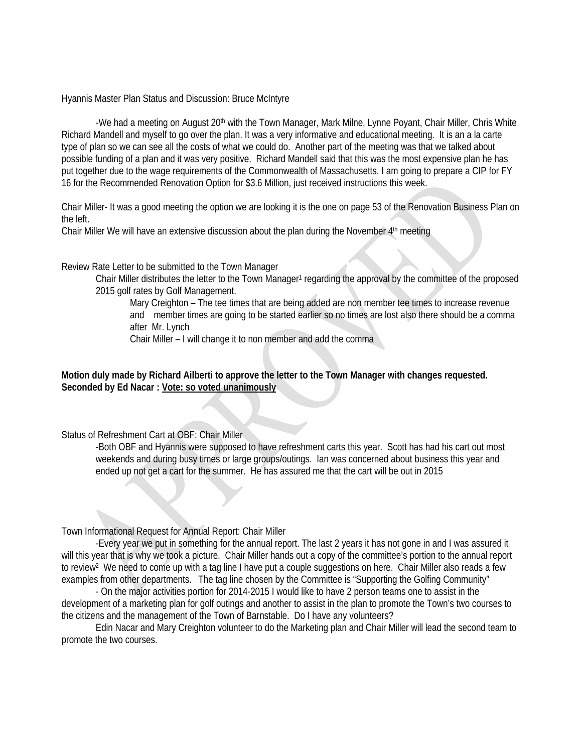Hyannis Master Plan Status and Discussion: Bruce McIntyre

-We had a meeting on August 20<sup>th</sup> with the Town Manager, Mark Milne, Lynne Poyant, Chair Miller, Chris White Richard Mandell and myself to go over the plan. It was a very informative and educational meeting. It is an a la carte type of plan so we can see all the costs of what we could do. Another part of the meeting was that we talked about possible funding of a plan and it was very positive. Richard Mandell said that this was the most expensive plan he has put together due to the wage requirements of the Commonwealth of Massachusetts. I am going to prepare a CIP for FY 16 for the Recommended Renovation Option for \$3.6 Million, just received instructions this week.

Chair Miller- It was a good meeting the option we are looking it is the one on page 53 of the Renovation Business Plan on the left.

Chair Miller We will have an extensive discussion about the plan during the November  $4<sup>th</sup>$  meeting

Review Rate Letter to be submitted to the Town Manager

Chair Miller distributes the letter to the Town Manager<sup>1</sup> regarding the approval by the committee of the proposed 2015 golf rates by Golf Management.

Mary Creighton – The tee times that are being added are non member tee times to increase revenue and member times are going to be started earlier so no times are lost also there should be a comma after Mr. Lynch

Chair Miller – I will change it to non member and add the comma

#### **Motion duly made by Richard Ailberti to approve the letter to the Town Manager with changes requested.**  Seconded by Ed Nacar : Vote: so voted unanimously

Status of Refreshment Cart at OBF: Chair Miller

-Both OBF and Hyannis were supposed to have refreshment carts this year. Scott has had his cart out most weekends and during busy times or large groups/outings. Ian was concerned about business this year and ended up not get a cart for the summer. He has assured me that the cart will be out in 2015

Town Informational Request for Annual Report: Chair Miller

 -Every year we put in something for the annual report. The last 2 years it has not gone in and I was assured it will this year that is why we took a picture. Chair Miller hands out a copy of the committee's portion to the annual report to review<sup>2</sup> We need to come up with a tag line I have put a couple suggestions on here. Chair Miller also reads a few examples from other departments. The tag line chosen by the Committee is "Supporting the Golfing Community"

 - On the major activities portion for 2014-2015 I would like to have 2 person teams one to assist in the development of a marketing plan for golf outings and another to assist in the plan to promote the Town's two courses to the citizens and the management of the Town of Barnstable. Do I have any volunteers?

 Edin Nacar and Mary Creighton volunteer to do the Marketing plan and Chair Miller will lead the second team to promote the two courses.